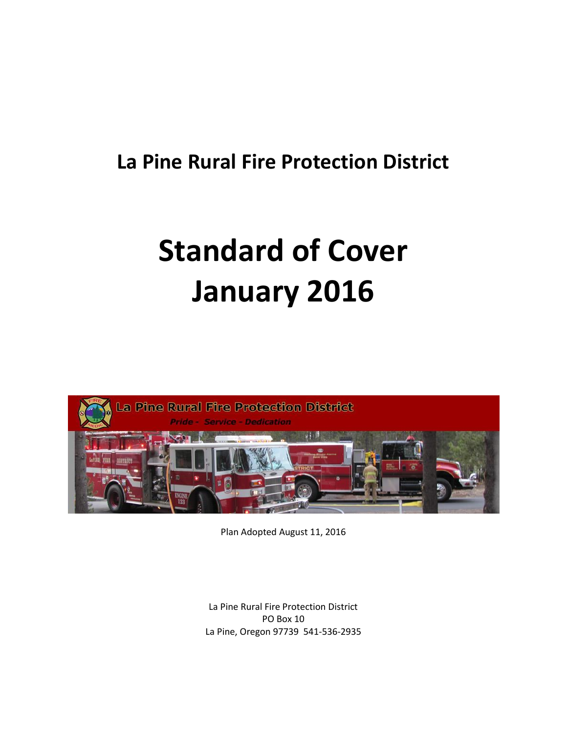# **La Pine Rural Fire Protection District**

# **Standard of Cover January 2016**



Plan Adopted August 11, 2016

La Pine Rural Fire Protection District PO Box 10 La Pine, Oregon 97739 541-536-2935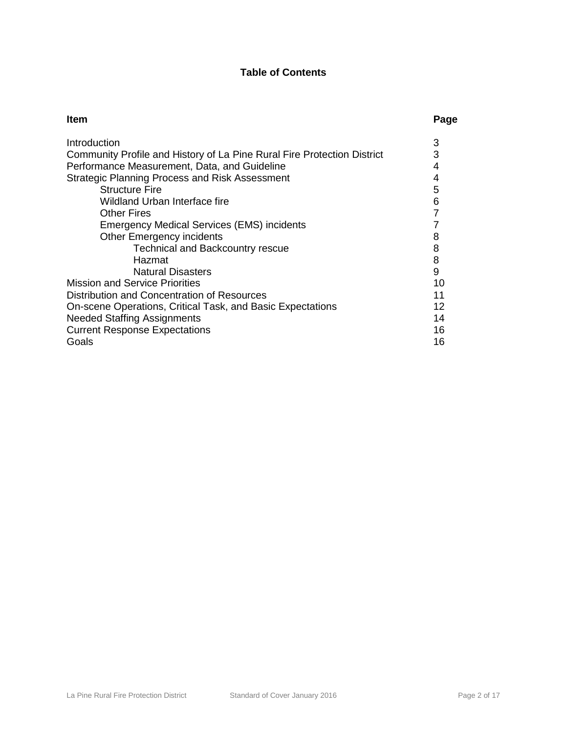# **Table of Contents**

| Introduction<br>3<br>3<br>Community Profile and History of La Pine Rural Fire Protection District<br>Performance Measurement, Data, and Guideline<br>4<br><b>Strategic Planning Process and Risk Assessment</b><br>4<br><b>Structure Fire</b> | Page |
|-----------------------------------------------------------------------------------------------------------------------------------------------------------------------------------------------------------------------------------------------|------|
|                                                                                                                                                                                                                                               |      |
|                                                                                                                                                                                                                                               |      |
|                                                                                                                                                                                                                                               |      |
|                                                                                                                                                                                                                                               |      |
| 5                                                                                                                                                                                                                                             |      |
| 6<br>Wildland Urban Interface fire                                                                                                                                                                                                            |      |
| 7<br><b>Other Fires</b>                                                                                                                                                                                                                       |      |
| <b>Emergency Medical Services (EMS) incidents</b>                                                                                                                                                                                             |      |
| <b>Other Emergency incidents</b><br>8                                                                                                                                                                                                         |      |
| 8<br><b>Technical and Backcountry rescue</b>                                                                                                                                                                                                  |      |
| 8<br>Hazmat                                                                                                                                                                                                                                   |      |
| 9<br><b>Natural Disasters</b>                                                                                                                                                                                                                 |      |
| <b>Mission and Service Priorities</b><br>10                                                                                                                                                                                                   |      |
| Distribution and Concentration of Resources<br>11                                                                                                                                                                                             |      |
| On-scene Operations, Critical Task, and Basic Expectations<br>12                                                                                                                                                                              |      |
| <b>Needed Staffing Assignments</b><br>14                                                                                                                                                                                                      |      |
| <b>Current Response Expectations</b><br>16                                                                                                                                                                                                    |      |
| Goals<br>16                                                                                                                                                                                                                                   |      |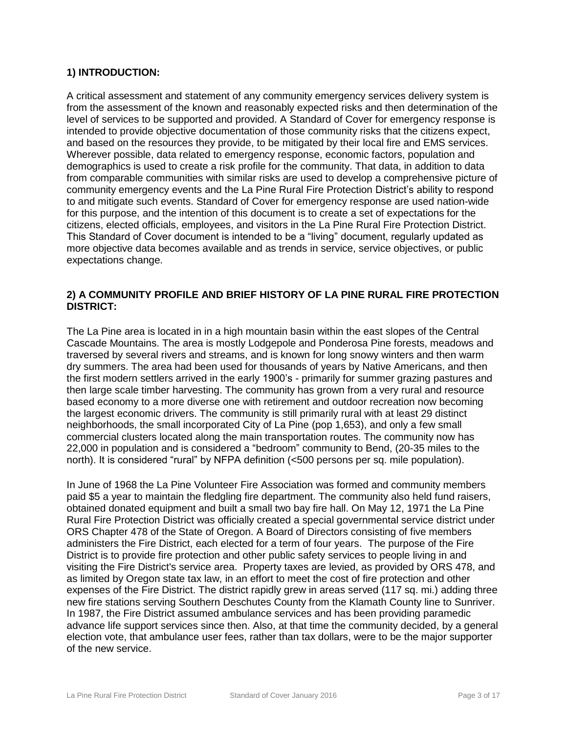# **1) INTRODUCTION:**

A critical assessment and statement of any community emergency services delivery system is from the assessment of the known and reasonably expected risks and then determination of the level of services to be supported and provided. A Standard of Cover for emergency response is intended to provide objective documentation of those community risks that the citizens expect, and based on the resources they provide, to be mitigated by their local fire and EMS services. Wherever possible, data related to emergency response, economic factors, population and demographics is used to create a risk profile for the community. That data, in addition to data from comparable communities with similar risks are used to develop a comprehensive picture of community emergency events and the La Pine Rural Fire Protection District's ability to respond to and mitigate such events. Standard of Cover for emergency response are used nation-wide for this purpose, and the intention of this document is to create a set of expectations for the citizens, elected officials, employees, and visitors in the La Pine Rural Fire Protection District. This Standard of Cover document is intended to be a "living" document, regularly updated as more objective data becomes available and as trends in service, service objectives, or public expectations change.

# **2) A COMMUNITY PROFILE AND BRIEF HISTORY OF LA PINE RURAL FIRE PROTECTION DISTRICT:**

The La Pine area is located in in a high mountain basin within the east slopes of the Central Cascade Mountains. The area is mostly Lodgepole and Ponderosa Pine forests, meadows and traversed by several rivers and streams, and is known for long snowy winters and then warm dry summers. The area had been used for thousands of years by Native Americans, and then the first modern settlers arrived in the early 1900's - primarily for summer grazing pastures and then large scale timber harvesting. The community has grown from a very rural and resource based economy to a more diverse one with retirement and outdoor recreation now becoming the largest economic drivers. The community is still primarily rural with at least 29 distinct neighborhoods, the small incorporated City of La Pine (pop 1,653), and only a few small commercial clusters located along the main transportation routes. The community now has 22,000 in population and is considered a "bedroom" community to Bend, (20-35 miles to the north). It is considered "rural" by NFPA definition (<500 persons per sq. mile population).

In June of 1968 the La Pine Volunteer Fire Association was formed and community members paid \$5 a year to maintain the fledgling fire department. The community also held fund raisers, obtained donated equipment and built a small two bay fire hall. On May 12, 1971 the La Pine Rural Fire Protection District was officially created a special governmental service district under ORS Chapter 478 of the State of Oregon. A Board of Directors consisting of five members administers the Fire District, each elected for a term of four years. The purpose of the Fire District is to provide fire protection and other public safety services to people living in and visiting the Fire District's service area. Property taxes are levied, as provided by ORS 478, and as limited by Oregon state tax law, in an effort to meet the cost of fire protection and other expenses of the Fire District. The district rapidly grew in areas served (117 sq. mi.) adding three new fire stations serving Southern Deschutes County from the Klamath County line to Sunriver. In 1987, the Fire District assumed ambulance services and has been providing paramedic advance life support services since then. Also, at that time the community decided, by a general election vote, that ambulance user fees, rather than tax dollars, were to be the major supporter of the new service.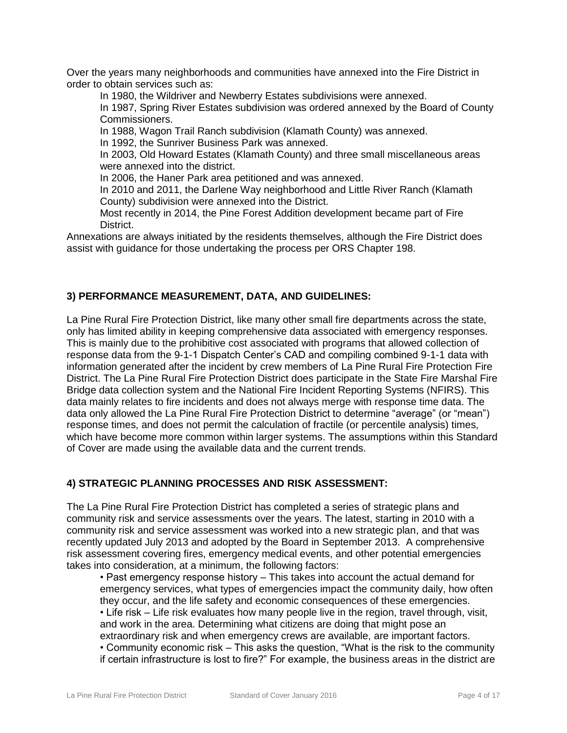Over the years many neighborhoods and communities have annexed into the Fire District in order to obtain services such as:

In 1980, the Wildriver and Newberry Estates subdivisions were annexed.

In 1987, Spring River Estates subdivision was ordered annexed by the Board of County Commissioners.

In 1988, Wagon Trail Ranch subdivision (Klamath County) was annexed.

In 1992, the Sunriver Business Park was annexed.

In 2003, Old Howard Estates (Klamath County) and three small miscellaneous areas were annexed into the district.

In 2006, the Haner Park area petitioned and was annexed.

In 2010 and 2011, the Darlene Way neighborhood and Little River Ranch (Klamath County) subdivision were annexed into the District.

Most recently in 2014, the Pine Forest Addition development became part of Fire District.

Annexations are always initiated by the residents themselves, although the Fire District does assist with guidance for those undertaking the process per ORS Chapter 198.

#### **3) PERFORMANCE MEASUREMENT, DATA, AND GUIDELINES:**

La Pine Rural Fire Protection District, like many other small fire departments across the state, only has limited ability in keeping comprehensive data associated with emergency responses. This is mainly due to the prohibitive cost associated with programs that allowed collection of response data from the 9-1-1 Dispatch Center's CAD and compiling combined 9-1-1 data with information generated after the incident by crew members of La Pine Rural Fire Protection Fire District. The La Pine Rural Fire Protection District does participate in the State Fire Marshal Fire Bridge data collection system and the National Fire Incident Reporting Systems (NFIRS). This data mainly relates to fire incidents and does not always merge with response time data. The data only allowed the La Pine Rural Fire Protection District to determine "average" (or "mean") response times, and does not permit the calculation of fractile (or percentile analysis) times, which have become more common within larger systems. The assumptions within this Standard of Cover are made using the available data and the current trends.

# **4) STRATEGIC PLANNING PROCESSES AND RISK ASSESSMENT:**

The La Pine Rural Fire Protection District has completed a series of strategic plans and community risk and service assessments over the years. The latest, starting in 2010 with a community risk and service assessment was worked into a new strategic plan, and that was recently updated July 2013 and adopted by the Board in September 2013. A comprehensive risk assessment covering fires, emergency medical events, and other potential emergencies takes into consideration, at a minimum, the following factors:

• Past emergency response history – This takes into account the actual demand for emergency services, what types of emergencies impact the community daily, how often they occur, and the life safety and economic consequences of these emergencies.

• Life risk – Life risk evaluates how many people live in the region, travel through, visit, and work in the area. Determining what citizens are doing that might pose an extraordinary risk and when emergency crews are available, are important factors.

• Community economic risk – This asks the question, "What is the risk to the community if certain infrastructure is lost to fire?" For example, the business areas in the district are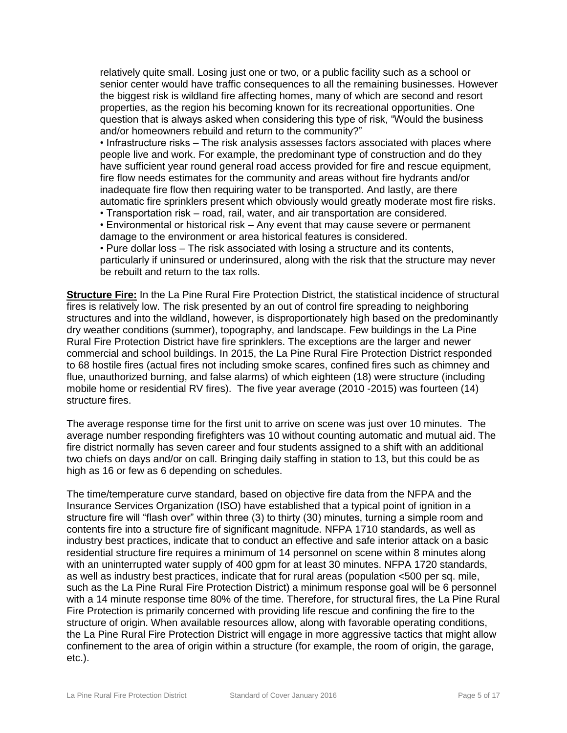relatively quite small. Losing just one or two, or a public facility such as a school or senior center would have traffic consequences to all the remaining businesses. However the biggest risk is wildland fire affecting homes, many of which are second and resort properties, as the region his becoming known for its recreational opportunities. One question that is always asked when considering this type of risk, "Would the business and/or homeowners rebuild and return to the community?"

• Infrastructure risks – The risk analysis assesses factors associated with places where people live and work. For example, the predominant type of construction and do they have sufficient year round general road access provided for fire and rescue equipment, fire flow needs estimates for the community and areas without fire hydrants and/or inadequate fire flow then requiring water to be transported. And lastly, are there automatic fire sprinklers present which obviously would greatly moderate most fire risks.

- Transportation risk road, rail, water, and air transportation are considered.
- Environmental or historical risk Any event that may cause severe or permanent damage to the environment or area historical features is considered.

• Pure dollar loss – The risk associated with losing a structure and its contents, particularly if uninsured or underinsured, along with the risk that the structure may never

be rebuilt and return to the tax rolls.

**Structure Fire:** In the La Pine Rural Fire Protection District, the statistical incidence of structural fires is relatively low. The risk presented by an out of control fire spreading to neighboring structures and into the wildland, however, is disproportionately high based on the predominantly dry weather conditions (summer), topography, and landscape. Few buildings in the La Pine Rural Fire Protection District have fire sprinklers. The exceptions are the larger and newer commercial and school buildings. In 2015, the La Pine Rural Fire Protection District responded to 68 hostile fires (actual fires not including smoke scares, confined fires such as chimney and flue, unauthorized burning, and false alarms) of which eighteen (18) were structure (including mobile home or residential RV fires). The five year average (2010 -2015) was fourteen (14) structure fires.

The average response time for the first unit to arrive on scene was just over 10 minutes. The average number responding firefighters was 10 without counting automatic and mutual aid. The fire district normally has seven career and four students assigned to a shift with an additional two chiefs on days and/or on call. Bringing daily staffing in station to 13, but this could be as high as 16 or few as 6 depending on schedules.

The time/temperature curve standard, based on objective fire data from the NFPA and the Insurance Services Organization (ISO) have established that a typical point of ignition in a structure fire will "flash over" within three (3) to thirty (30) minutes, turning a simple room and contents fire into a structure fire of significant magnitude. NFPA 1710 standards, as well as industry best practices, indicate that to conduct an effective and safe interior attack on a basic residential structure fire requires a minimum of 14 personnel on scene within 8 minutes along with an uninterrupted water supply of 400 gpm for at least 30 minutes. NFPA 1720 standards, as well as industry best practices, indicate that for rural areas (population <500 per sq. mile, such as the La Pine Rural Fire Protection District) a minimum response goal will be 6 personnel with a 14 minute response time 80% of the time. Therefore, for structural fires, the La Pine Rural Fire Protection is primarily concerned with providing life rescue and confining the fire to the structure of origin. When available resources allow, along with favorable operating conditions, the La Pine Rural Fire Protection District will engage in more aggressive tactics that might allow confinement to the area of origin within a structure (for example, the room of origin, the garage, etc.).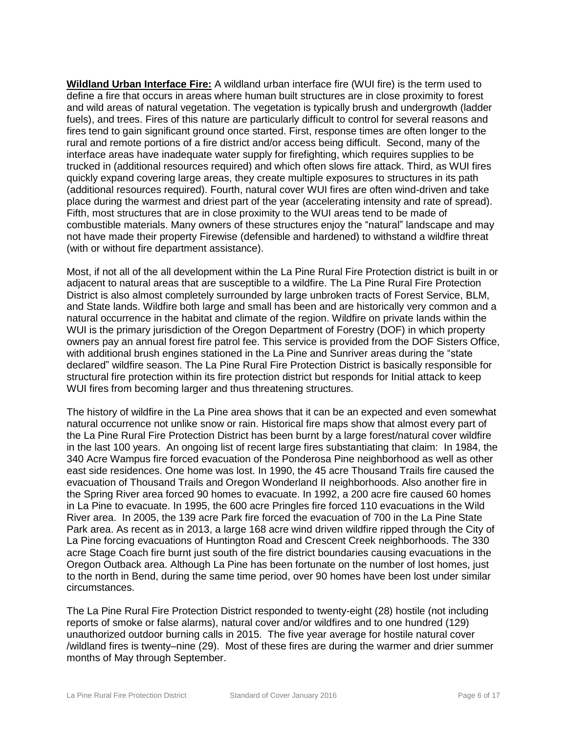**Wildland Urban Interface Fire:** A wildland urban interface fire (WUI fire) is the term used to define a fire that occurs in areas where human built structures are in close proximity to forest and wild areas of natural vegetation. The vegetation is typically brush and undergrowth (ladder fuels), and trees. Fires of this nature are particularly difficult to control for several reasons and fires tend to gain significant ground once started. First, response times are often longer to the rural and remote portions of a fire district and/or access being difficult. Second, many of the interface areas have inadequate water supply for firefighting, which requires supplies to be trucked in (additional resources required) and which often slows fire attack. Third, as WUI fires quickly expand covering large areas, they create multiple exposures to structures in its path (additional resources required). Fourth, natural cover WUI fires are often wind-driven and take place during the warmest and driest part of the year (accelerating intensity and rate of spread). Fifth, most structures that are in close proximity to the WUI areas tend to be made of combustible materials. Many owners of these structures enjoy the "natural" landscape and may not have made their property Firewise (defensible and hardened) to withstand a wildfire threat (with or without fire department assistance).

Most, if not all of the all development within the La Pine Rural Fire Protection district is built in or adjacent to natural areas that are susceptible to a wildfire. The La Pine Rural Fire Protection District is also almost completely surrounded by large unbroken tracts of Forest Service, BLM, and State lands. Wildfire both large and small has been and are historically very common and a natural occurrence in the habitat and climate of the region. Wildfire on private lands within the WUI is the primary jurisdiction of the Oregon Department of Forestry (DOF) in which property owners pay an annual forest fire patrol fee. This service is provided from the DOF Sisters Office, with additional brush engines stationed in the La Pine and Sunriver areas during the "state declared" wildfire season. The La Pine Rural Fire Protection District is basically responsible for structural fire protection within its fire protection district but responds for Initial attack to keep WUI fires from becoming larger and thus threatening structures.

The history of wildfire in the La Pine area shows that it can be an expected and even somewhat natural occurrence not unlike snow or rain. Historical fire maps show that almost every part of the La Pine Rural Fire Protection District has been burnt by a large forest/natural cover wildfire in the last 100 years. An ongoing list of recent large fires substantiating that claim: In 1984, the 340 Acre Wampus fire forced evacuation of the Ponderosa Pine neighborhood as well as other east side residences. One home was lost. In 1990, the 45 acre Thousand Trails fire caused the evacuation of Thousand Trails and Oregon Wonderland II neighborhoods. Also another fire in the Spring River area forced 90 homes to evacuate. In 1992, a 200 acre fire caused 60 homes in La Pine to evacuate. In 1995, the 600 acre Pringles fire forced 110 evacuations in the Wild River area. In 2005, the 139 acre Park fire forced the evacuation of 700 in the La Pine State Park area. As recent as in 2013, a large 168 acre wind driven wildfire ripped through the City of La Pine forcing evacuations of Huntington Road and Crescent Creek neighborhoods. The 330 acre Stage Coach fire burnt just south of the fire district boundaries causing evacuations in the Oregon Outback area. Although La Pine has been fortunate on the number of lost homes, just to the north in Bend, during the same time period, over 90 homes have been lost under similar circumstances.

The La Pine Rural Fire Protection District responded to twenty-eight (28) hostile (not including reports of smoke or false alarms), natural cover and/or wildfires and to one hundred (129) unauthorized outdoor burning calls in 2015. The five year average for hostile natural cover /wildland fires is twenty–nine (29). Most of these fires are during the warmer and drier summer months of May through September.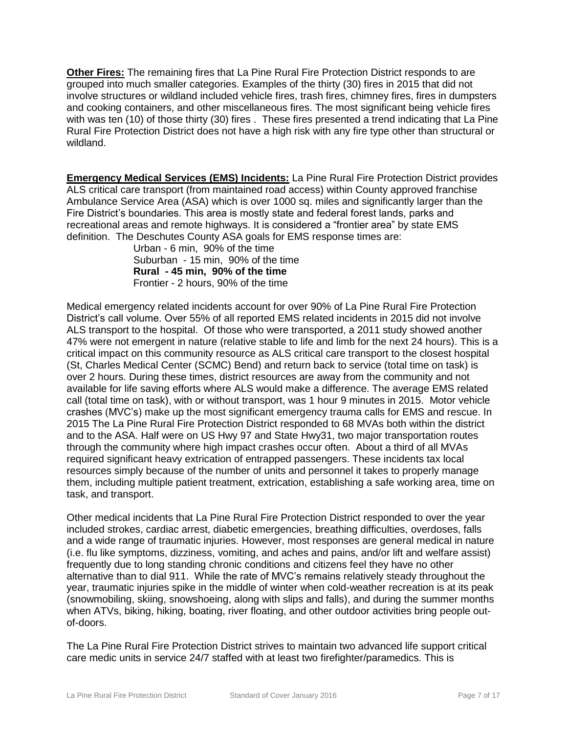**Other Fires:** The remaining fires that La Pine Rural Fire Protection District responds to are grouped into much smaller categories. Examples of the thirty (30) fires in 2015 that did not involve structures or wildland included vehicle fires, trash fires, chimney fires, fires in dumpsters and cooking containers, and other miscellaneous fires. The most significant being vehicle fires with was ten (10) of those thirty (30) fires . These fires presented a trend indicating that La Pine Rural Fire Protection District does not have a high risk with any fire type other than structural or wildland.

**Emergency Medical Services (EMS) Incidents:** La Pine Rural Fire Protection District provides ALS critical care transport (from maintained road access) within County approved franchise Ambulance Service Area (ASA) which is over 1000 sq. miles and significantly larger than the Fire District's boundaries. This area is mostly state and federal forest lands, parks and recreational areas and remote highways. It is considered a "frontier area" by state EMS definition. The Deschutes County ASA goals for EMS response times are:

Urban - 6 min, 90% of the time Suburban - 15 min, 90% of the time **Rural - 45 min, 90% of the time**  Frontier - 2 hours, 90% of the time

Medical emergency related incidents account for over 90% of La Pine Rural Fire Protection District's call volume. Over 55% of all reported EMS related incidents in 2015 did not involve ALS transport to the hospital. Of those who were transported, a 2011 study showed another 47% were not emergent in nature (relative stable to life and limb for the next 24 hours). This is a critical impact on this community resource as ALS critical care transport to the closest hospital (St, Charles Medical Center (SCMC) Bend) and return back to service (total time on task) is over 2 hours. During these times, district resources are away from the community and not available for life saving efforts where ALS would make a difference. The average EMS related call (total time on task), with or without transport, was 1 hour 9 minutes in 2015. Motor vehicle crashes (MVC's) make up the most significant emergency trauma calls for EMS and rescue. In 2015 The La Pine Rural Fire Protection District responded to 68 MVAs both within the district and to the ASA. Half were on US Hwy 97 and State Hwy31, two major transportation routes through the community where high impact crashes occur often. About a third of all MVAs required significant heavy extrication of entrapped passengers. These incidents tax local resources simply because of the number of units and personnel it takes to properly manage them, including multiple patient treatment, extrication, establishing a safe working area, time on task, and transport.

Other medical incidents that La Pine Rural Fire Protection District responded to over the year included strokes, cardiac arrest, diabetic emergencies, breathing difficulties, overdoses, falls and a wide range of traumatic injuries. However, most responses are general medical in nature (i.e. flu like symptoms, dizziness, vomiting, and aches and pains, and/or lift and welfare assist) frequently due to long standing chronic conditions and citizens feel they have no other alternative than to dial 911. While the rate of MVC's remains relatively steady throughout the year, traumatic injuries spike in the middle of winter when cold-weather recreation is at its peak (snowmobiling, skiing, snowshoeing, along with slips and falls), and during the summer months when ATVs, biking, hiking, boating, river floating, and other outdoor activities bring people outof-doors.

The La Pine Rural Fire Protection District strives to maintain two advanced life support critical care medic units in service 24/7 staffed with at least two firefighter/paramedics. This is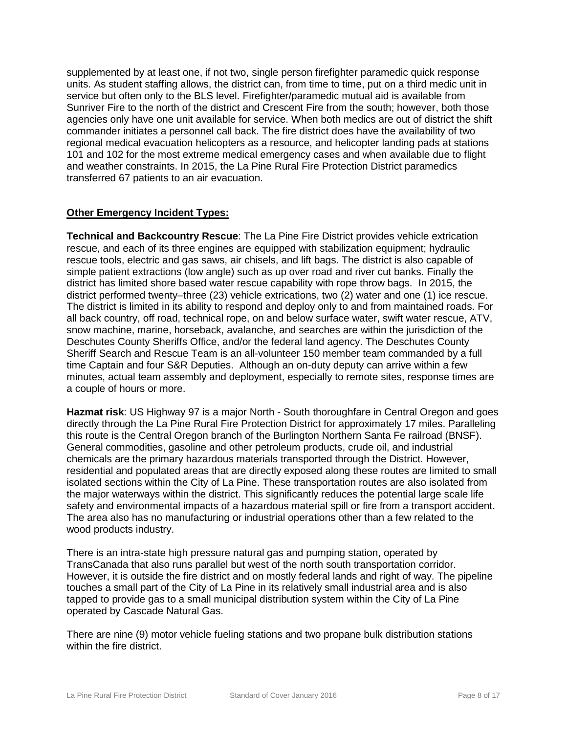supplemented by at least one, if not two, single person firefighter paramedic quick response units. As student staffing allows, the district can, from time to time, put on a third medic unit in service but often only to the BLS level. Firefighter/paramedic mutual aid is available from Sunriver Fire to the north of the district and Crescent Fire from the south; however, both those agencies only have one unit available for service. When both medics are out of district the shift commander initiates a personnel call back. The fire district does have the availability of two regional medical evacuation helicopters as a resource, and helicopter landing pads at stations 101 and 102 for the most extreme medical emergency cases and when available due to flight and weather constraints. In 2015, the La Pine Rural Fire Protection District paramedics transferred 67 patients to an air evacuation.

# **Other Emergency Incident Types:**

**Technical and Backcountry Rescue**: The La Pine Fire District provides vehicle extrication rescue, and each of its three engines are equipped with stabilization equipment; hydraulic rescue tools, electric and gas saws, air chisels, and lift bags. The district is also capable of simple patient extractions (low angle) such as up over road and river cut banks. Finally the district has limited shore based water rescue capability with rope throw bags. In 2015, the district performed twenty–three (23) vehicle extrications, two (2) water and one (1) ice rescue. The district is limited in its ability to respond and deploy only to and from maintained roads. For all back country, off road, technical rope, on and below surface water, swift water rescue, ATV, snow machine, marine, horseback, avalanche, and searches are within the jurisdiction of the Deschutes County Sheriffs Office, and/or the federal land agency. The Deschutes County Sheriff Search and Rescue Team is an all-volunteer 150 member team commanded by a full time Captain and four S&R Deputies. Although an on-duty deputy can arrive within a few minutes, actual team assembly and deployment, especially to remote sites, response times are a couple of hours or more.

**Hazmat risk**: US Highway 97 is a major North - South thoroughfare in Central Oregon and goes directly through the La Pine Rural Fire Protection District for approximately 17 miles. Paralleling this route is the Central Oregon branch of the Burlington Northern Santa Fe railroad (BNSF). General commodities, gasoline and other petroleum products, crude oil, and industrial chemicals are the primary hazardous materials transported through the District. However, residential and populated areas that are directly exposed along these routes are limited to small isolated sections within the City of La Pine. These transportation routes are also isolated from the major waterways within the district. This significantly reduces the potential large scale life safety and environmental impacts of a hazardous material spill or fire from a transport accident. The area also has no manufacturing or industrial operations other than a few related to the wood products industry.

There is an intra-state high pressure natural gas and pumping station, operated by TransCanada that also runs parallel but west of the north south transportation corridor. However, it is outside the fire district and on mostly federal lands and right of way. The pipeline touches a small part of the City of La Pine in its relatively small industrial area and is also tapped to provide gas to a small municipal distribution system within the City of La Pine operated by Cascade Natural Gas.

There are nine (9) motor vehicle fueling stations and two propane bulk distribution stations within the fire district.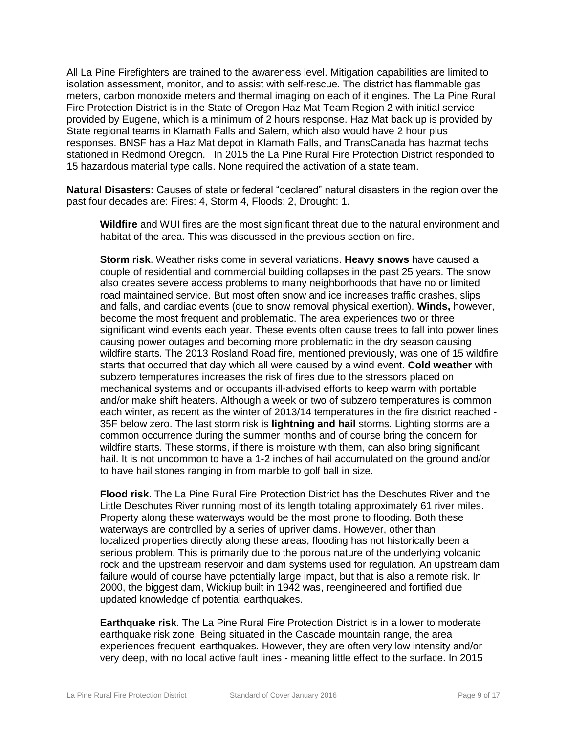All La Pine Firefighters are trained to the awareness level. Mitigation capabilities are limited to isolation assessment, monitor, and to assist with self-rescue. The district has flammable gas meters, carbon monoxide meters and thermal imaging on each of it engines. The La Pine Rural Fire Protection District is in the State of Oregon Haz Mat Team Region 2 with initial service provided by Eugene, which is a minimum of 2 hours response. Haz Mat back up is provided by State regional teams in Klamath Falls and Salem, which also would have 2 hour plus responses. BNSF has a Haz Mat depot in Klamath Falls, and TransCanada has hazmat techs stationed in Redmond Oregon. In 2015 the La Pine Rural Fire Protection District responded to 15 hazardous material type calls. None required the activation of a state team.

**Natural Disasters:** Causes of state or federal "declared" natural disasters in the region over the past four decades are: Fires: 4, Storm 4, Floods: 2, Drought: 1.

**Wildfire** and WUI fires are the most significant threat due to the natural environment and habitat of the area. This was discussed in the previous section on fire.

**Storm risk**. Weather risks come in several variations. **Heavy snows** have caused a couple of residential and commercial building collapses in the past 25 years. The snow also creates severe access problems to many neighborhoods that have no or limited road maintained service. But most often snow and ice increases traffic crashes, slips and falls, and cardiac events (due to snow removal physical exertion). **Winds,** however, become the most frequent and problematic. The area experiences two or three significant wind events each year. These events often cause trees to fall into power lines causing power outages and becoming more problematic in the dry season causing wildfire starts. The 2013 Rosland Road fire, mentioned previously, was one of 15 wildfire starts that occurred that day which all were caused by a wind event. **Cold weather** with subzero temperatures increases the risk of fires due to the stressors placed on mechanical systems and or occupants ill-advised efforts to keep warm with portable and/or make shift heaters. Although a week or two of subzero temperatures is common each winter, as recent as the winter of 2013/14 temperatures in the fire district reached - 35F below zero. The last storm risk is **lightning and hail** storms. Lighting storms are a common occurrence during the summer months and of course bring the concern for wildfire starts. These storms, if there is moisture with them, can also bring significant hail. It is not uncommon to have a 1-2 inches of hail accumulated on the ground and/or to have hail stones ranging in from marble to golf ball in size.

**Flood risk**. The La Pine Rural Fire Protection District has the Deschutes River and the Little Deschutes River running most of its length totaling approximately 61 river miles. Property along these waterways would be the most prone to flooding. Both these waterways are controlled by a series of upriver dams. However, other than localized properties directly along these areas, flooding has not historically been a serious problem. This is primarily due to the porous nature of the underlying volcanic rock and the upstream reservoir and dam systems used for regulation. An upstream dam failure would of course have potentially large impact, but that is also a remote risk. In 2000, the biggest dam, Wickiup built in 1942 was, reengineered and fortified due updated knowledge of potential earthquakes.

**Earthquake risk**. The La Pine Rural Fire Protection District is in a lower to moderate earthquake risk zone. Being situated in the Cascade mountain range, the area experiences frequent earthquakes. However, they are often very low intensity and/or very deep, with no local active fault lines - meaning little effect to the surface. In 2015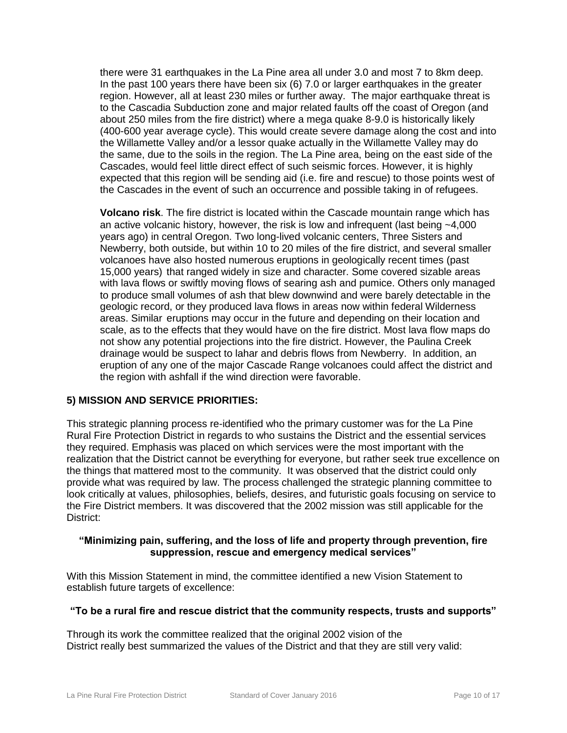there were 31 earthquakes in the La Pine area all under 3.0 and most 7 to 8km deep. In the past 100 years there have been six (6) 7.0 or larger earthquakes in the greater region. However, all at least 230 miles or further away. The major earthquake threat is to the Cascadia Subduction zone and major related faults off the coast of Oregon (and about 250 miles from the fire district) where a mega quake 8-9.0 is historically likely (400-600 year average cycle). This would create severe damage along the cost and into the Willamette Valley and/or a lessor quake actually in the Willamette Valley may do the same, due to the soils in the region. The La Pine area, being on the east side of the Cascades, would feel little direct effect of such seismic forces. However, it is highly expected that this region will be sending aid (i.e. fire and rescue) to those points west of the Cascades in the event of such an occurrence and possible taking in of refugees.

**Volcano risk**. The fire district is located within the Cascade mountain range which has an active volcanic history, however, the risk is low and infrequent (last being ~4,000 years ago) in central Oregon. Two long-lived volcanic centers, Three Sisters and Newberry, both outside, but within 10 to 20 miles of the fire district, and several smaller volcanoes have also hosted numerous eruptions in geologically recent times (past 15,000 years) that ranged widely in size and character. Some covered sizable areas with lava flows or swiftly moving flows of searing ash and pumice. Others only managed to produce small volumes of ash that blew downwind and were barely detectable in the geologic record, or they produced lava flows in areas now within federal Wilderness areas. Similar eruptions may occur in the future and depending on their location and scale, as to the effects that they would have on the fire district. Most lava flow maps do not show any potential projections into the fire district. However, the Paulina Creek drainage would be suspect to lahar and debris flows from Newberry. In addition, an eruption of any one of the major Cascade Range volcanoes could affect the district and the region with ashfall if the wind direction were favorable.

# **5) MISSION AND SERVICE PRIORITIES:**

This strategic planning process re-identified who the primary customer was for the La Pine Rural Fire Protection District in regards to who sustains the District and the essential services they required. Emphasis was placed on which services were the most important with the realization that the District cannot be everything for everyone, but rather seek true excellence on the things that mattered most to the community. It was observed that the district could only provide what was required by law. The process challenged the strategic planning committee to look critically at values, philosophies, beliefs, desires, and futuristic goals focusing on service to the Fire District members. It was discovered that the 2002 mission was still applicable for the District:

#### **"Minimizing pain, suffering, and the loss of life and property through prevention, fire suppression, rescue and emergency medical services"**

With this Mission Statement in mind, the committee identified a new Vision Statement to establish future targets of excellence:

#### **"To be a rural fire and rescue district that the community respects, trusts and supports"**

Through its work the committee realized that the original 2002 vision of the District really best summarized the values of the District and that they are still very valid: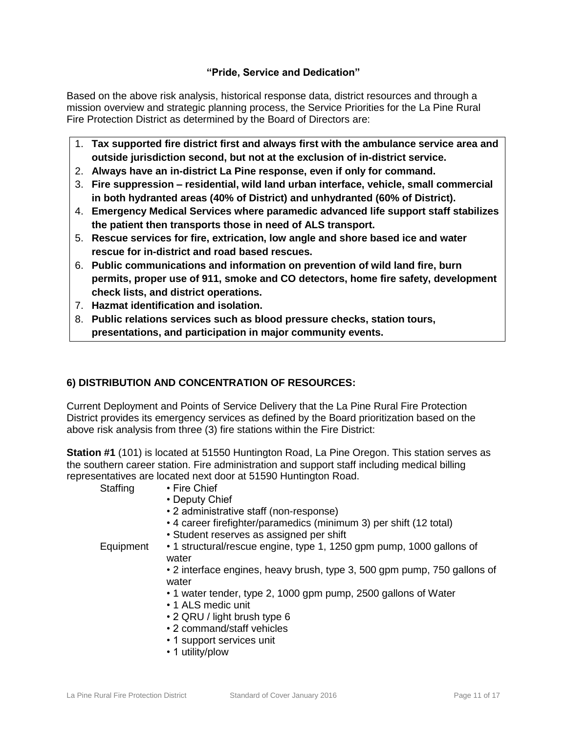# **"Pride, Service and Dedication"**

Based on the above risk analysis, historical response data, district resources and through a mission overview and strategic planning process, the Service Priorities for the La Pine Rural Fire Protection District as determined by the Board of Directors are:

- 1. **Tax supported fire district first and always first with the ambulance service area and outside jurisdiction second, but not at the exclusion of in-district service.**
- 2. **Always have an in-district La Pine response, even if only for command.**
- 3. **Fire suppression – residential, wild land urban interface, vehicle, small commercial in both hydranted areas (40% of District) and unhydranted (60% of District).**
- 4. **Emergency Medical Services where paramedic advanced life support staff stabilizes the patient then transports those in need of ALS transport.**
- 5. **Rescue services for fire, extrication, low angle and shore based ice and water rescue for in-district and road based rescues.**
- 6. **Public communications and information on prevention of wild land fire, burn permits, proper use of 911, smoke and CO detectors, home fire safety, development check lists, and district operations.**
- 7. **Hazmat identification and isolation.**
- 8. **Public relations services such as blood pressure checks, station tours, presentations, and participation in major community events.**

# **6) DISTRIBUTION AND CONCENTRATION OF RESOURCES:**

Current Deployment and Points of Service Delivery that the La Pine Rural Fire Protection District provides its emergency services as defined by the Board prioritization based on the above risk analysis from three (3) fire stations within the Fire District:

**Station #1** (101) is located at 51550 Huntington Road, La Pine Oregon. This station serves as the southern career station. Fire administration and support staff including medical billing representatives are located next door at 51590 Huntington Road.

Staffing • Fire Chief

- Deputy Chief
- 2 administrative staff (non-response)
- 4 career firefighter/paramedics (minimum 3) per shift (12 total)
- Student reserves as assigned per shift

Equipment • 1 structural/rescue engine, type 1, 1250 gpm pump, 1000 gallons of water

• 2 interface engines, heavy brush, type 3, 500 gpm pump, 750 gallons of water

- 1 water tender, type 2, 1000 gpm pump, 2500 gallons of Water
- 1 ALS medic unit
- 2 QRU / light brush type 6
- 2 command/staff vehicles
- 1 support services unit
- 1 utility/plow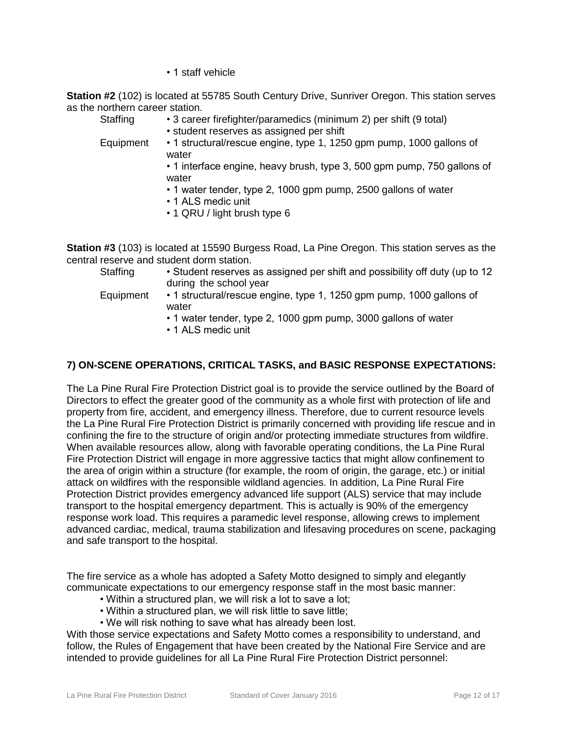• 1 staff vehicle

**Station #2** (102) is located at 55785 South Century Drive, Sunriver Oregon. This station serves as the northern career station.

- Staffing 3 career firefighter/paramedics (minimum 2) per shift (9 total)
	- student reserves as assigned per shift

Equipment • 1 structural/rescue engine, type 1, 1250 gpm pump, 1000 gallons of water

• 1 interface engine, heavy brush, type 3, 500 gpm pump, 750 gallons of water

- 1 water tender, type 2, 1000 gpm pump, 2500 gallons of water
- 1 ALS medic unit
- 1 QRU / light brush type 6

**Station #3** (103) is located at 15590 Burgess Road, La Pine Oregon. This station serves as the central reserve and student dorm station.

- Staffing Student reserves as assigned per shift and possibility off duty (up to 12 during the school year
- Equipment 1 structural/rescue engine, type 1, 1250 gpm pump, 1000 gallons of water
	- 1 water tender, type 2, 1000 gpm pump, 3000 gallons of water
	- 1 ALS medic unit

# **7) ON-SCENE OPERATIONS, CRITICAL TASKS, and BASIC RESPONSE EXPECTATIONS:**

The La Pine Rural Fire Protection District goal is to provide the service outlined by the Board of Directors to effect the greater good of the community as a whole first with protection of life and property from fire, accident, and emergency illness. Therefore, due to current resource levels the La Pine Rural Fire Protection District is primarily concerned with providing life rescue and in confining the fire to the structure of origin and/or protecting immediate structures from wildfire. When available resources allow, along with favorable operating conditions, the La Pine Rural Fire Protection District will engage in more aggressive tactics that might allow confinement to the area of origin within a structure (for example, the room of origin, the garage, etc.) or initial attack on wildfires with the responsible wildland agencies. In addition, La Pine Rural Fire Protection District provides emergency advanced life support (ALS) service that may include transport to the hospital emergency department. This is actually is 90% of the emergency response work load. This requires a paramedic level response, allowing crews to implement advanced cardiac, medical, trauma stabilization and lifesaving procedures on scene, packaging and safe transport to the hospital.

The fire service as a whole has adopted a Safety Motto designed to simply and elegantly communicate expectations to our emergency response staff in the most basic manner:

- Within a structured plan, we will risk a lot to save a lot;
- Within a structured plan, we will risk little to save little;
- We will risk nothing to save what has already been lost.

With those service expectations and Safety Motto comes a responsibility to understand, and follow, the Rules of Engagement that have been created by the National Fire Service and are intended to provide guidelines for all La Pine Rural Fire Protection District personnel: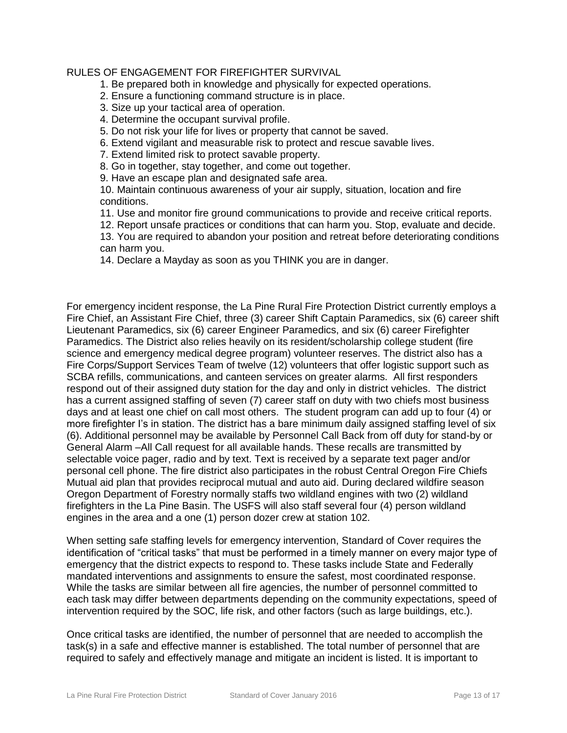# RULES OF ENGAGEMENT FOR FIREFIGHTER SURVIVAL

1. Be prepared both in knowledge and physically for expected operations.

- 2. Ensure a functioning command structure is in place.
- 3. Size up your tactical area of operation.
- 4. Determine the occupant survival profile.
- 5. Do not risk your life for lives or property that cannot be saved.
- 6. Extend vigilant and measurable risk to protect and rescue savable lives.
- 7. Extend limited risk to protect savable property.
- 8. Go in together, stay together, and come out together.
- 9. Have an escape plan and designated safe area.
- 10. Maintain continuous awareness of your air supply, situation, location and fire conditions.
- 11. Use and monitor fire ground communications to provide and receive critical reports.
- 12. Report unsafe practices or conditions that can harm you. Stop, evaluate and decide.
- 13. You are required to abandon your position and retreat before deteriorating conditions can harm you.
- 14. Declare a Mayday as soon as you THINK you are in danger.

For emergency incident response, the La Pine Rural Fire Protection District currently employs a Fire Chief, an Assistant Fire Chief, three (3) career Shift Captain Paramedics, six (6) career shift Lieutenant Paramedics, six (6) career Engineer Paramedics, and six (6) career Firefighter Paramedics. The District also relies heavily on its resident/scholarship college student (fire science and emergency medical degree program) volunteer reserves. The district also has a Fire Corps/Support Services Team of twelve (12) volunteers that offer logistic support such as SCBA refills, communications, and canteen services on greater alarms. All first responders respond out of their assigned duty station for the day and only in district vehicles. The district has a current assigned staffing of seven (7) career staff on duty with two chiefs most business days and at least one chief on call most others. The student program can add up to four (4) or more firefighter I's in station. The district has a bare minimum daily assigned staffing level of six (6). Additional personnel may be available by Personnel Call Back from off duty for stand-by or General Alarm –All Call request for all available hands. These recalls are transmitted by selectable voice pager, radio and by text. Text is received by a separate text pager and/or personal cell phone. The fire district also participates in the robust Central Oregon Fire Chiefs Mutual aid plan that provides reciprocal mutual and auto aid. During declared wildfire season Oregon Department of Forestry normally staffs two wildland engines with two (2) wildland firefighters in the La Pine Basin. The USFS will also staff several four (4) person wildland engines in the area and a one (1) person dozer crew at station 102.

When setting safe staffing levels for emergency intervention, Standard of Cover requires the identification of "critical tasks" that must be performed in a timely manner on every major type of emergency that the district expects to respond to. These tasks include State and Federally mandated interventions and assignments to ensure the safest, most coordinated response. While the tasks are similar between all fire agencies, the number of personnel committed to each task may differ between departments depending on the community expectations, speed of intervention required by the SOC, life risk, and other factors (such as large buildings, etc.).

Once critical tasks are identified, the number of personnel that are needed to accomplish the task(s) in a safe and effective manner is established. The total number of personnel that are required to safely and effectively manage and mitigate an incident is listed. It is important to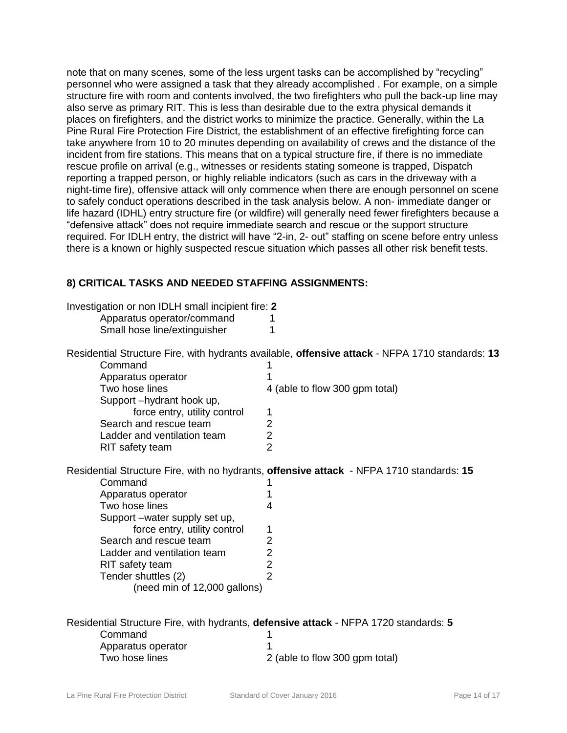note that on many scenes, some of the less urgent tasks can be accomplished by "recycling" personnel who were assigned a task that they already accomplished . For example, on a simple structure fire with room and contents involved, the two firefighters who pull the back-up line may also serve as primary RIT. This is less than desirable due to the extra physical demands it places on firefighters, and the district works to minimize the practice. Generally, within the La Pine Rural Fire Protection Fire District, the establishment of an effective firefighting force can take anywhere from 10 to 20 minutes depending on availability of crews and the distance of the incident from fire stations. This means that on a typical structure fire, if there is no immediate rescue profile on arrival (e.g., witnesses or residents stating someone is trapped, Dispatch reporting a trapped person, or highly reliable indicators (such as cars in the driveway with a night-time fire), offensive attack will only commence when there are enough personnel on scene to safely conduct operations described in the task analysis below. A non- immediate danger or life hazard (IDHL) entry structure fire (or wildfire) will generally need fewer firefighters because a "defensive attack" does not require immediate search and rescue or the support structure required. For IDLH entry, the district will have "2-in, 2- out" staffing on scene before entry unless there is a known or highly suspected rescue situation which passes all other risk benefit tests.

# **8) CRITICAL TASKS AND NEEDED STAFFING ASSIGNMENTS:**

| Investigation or non IDLH small incipient fire: 2<br>Apparatus operator/command<br>Small hose line/extinguisher | 1                                                                                               |  |
|-----------------------------------------------------------------------------------------------------------------|-------------------------------------------------------------------------------------------------|--|
|                                                                                                                 | Residential Structure Fire, with hydrants available, offensive attack - NFPA 1710 standards: 13 |  |
| Command                                                                                                         |                                                                                                 |  |
| Apparatus operator                                                                                              |                                                                                                 |  |
| Two hose lines                                                                                                  | 4 (able to flow 300 gpm total)                                                                  |  |
| Support-hydrant hook up,                                                                                        |                                                                                                 |  |
| force entry, utility control                                                                                    | 1                                                                                               |  |
| Search and rescue team                                                                                          | $\overline{2}$                                                                                  |  |
| Ladder and ventilation team                                                                                     | $\overline{2}$                                                                                  |  |
| RIT safety team                                                                                                 | $\overline{2}$                                                                                  |  |
| Residential Structure Fire, with no hydrants, offensive attack - NFPA 1710 standards: 15                        |                                                                                                 |  |
| Command                                                                                                         |                                                                                                 |  |
| Apparatus operator                                                                                              |                                                                                                 |  |
| Two hose lines                                                                                                  | 4                                                                                               |  |
| Support -water supply set up,                                                                                   |                                                                                                 |  |
| force entry, utility control                                                                                    | 1                                                                                               |  |
| Search and rescue team                                                                                          | $\overline{c}$                                                                                  |  |
| Ladder and ventilation team                                                                                     | $\overline{2}$                                                                                  |  |
| RIT safety team                                                                                                 | $\overline{2}$                                                                                  |  |
| Tender shuttles (2)                                                                                             | $\overline{2}$                                                                                  |  |
| (need min of 12,000 gallons)                                                                                    |                                                                                                 |  |
|                                                                                                                 |                                                                                                 |  |
| Residential Structure Fire, with hydrants, defensive attack - NFPA 1720 standards: 5                            |                                                                                                 |  |
| Command                                                                                                         |                                                                                                 |  |
| Apparatus operator                                                                                              |                                                                                                 |  |
| Two hose lines                                                                                                  | 2 (able to flow 300 gpm total)                                                                  |  |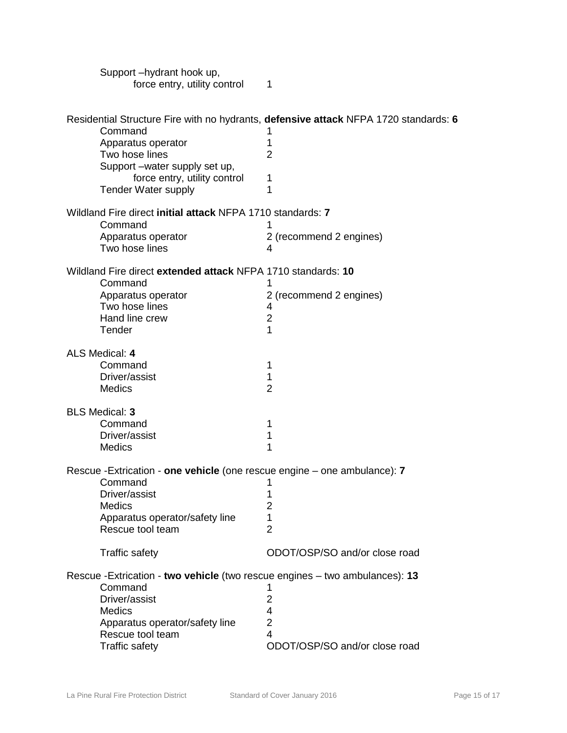| Support-hydrant hook up,<br>force entry, utility control                     | 1                                                                                    |
|------------------------------------------------------------------------------|--------------------------------------------------------------------------------------|
| Command                                                                      | Residential Structure Fire with no hydrants, defensive attack NFPA 1720 standards: 6 |
| Apparatus operator                                                           | 1<br>1                                                                               |
| Two hose lines                                                               | 2                                                                                    |
| Support -water supply set up,                                                |                                                                                      |
| force entry, utility control                                                 | 1                                                                                    |
| <b>Tender Water supply</b>                                                   | 1                                                                                    |
| Wildland Fire direct initial attack NFPA 1710 standards: 7                   |                                                                                      |
| Command                                                                      |                                                                                      |
| Apparatus operator                                                           | 2 (recommend 2 engines)                                                              |
| Two hose lines                                                               | 4                                                                                    |
| Wildland Fire direct extended attack NFPA 1710 standards: 10                 |                                                                                      |
| Command                                                                      |                                                                                      |
| Apparatus operator<br>Two hose lines                                         | 2 (recommend 2 engines)<br>4                                                         |
| Hand line crew                                                               | $\overline{2}$                                                                       |
| Tender                                                                       | 1                                                                                    |
| ALS Medical: 4                                                               |                                                                                      |
| Command                                                                      | 1                                                                                    |
| Driver/assist                                                                | 1                                                                                    |
| Medics                                                                       | $\overline{2}$                                                                       |
| <b>BLS Medical: 3</b>                                                        |                                                                                      |
| Command                                                                      | 1                                                                                    |
| Driver/assist                                                                | 1                                                                                    |
| <b>Medics</b>                                                                | 1                                                                                    |
| Rescue - Extrication - one vehicle (one rescue engine – one ambulance): 7    |                                                                                      |
| Command                                                                      |                                                                                      |
| Driver/assist                                                                | 1                                                                                    |
| <b>Medics</b>                                                                | 2                                                                                    |
| Apparatus operator/safety line<br>Rescue tool team                           | 1<br>$\overline{2}$                                                                  |
|                                                                              |                                                                                      |
| <b>Traffic safety</b>                                                        | ODOT/OSP/SO and/or close road                                                        |
| Rescue - Extrication - two vehicle (two rescue engines - two ambulances): 13 |                                                                                      |
| Command                                                                      |                                                                                      |
| Driver/assist                                                                | $\overline{2}$                                                                       |
| <b>Medics</b>                                                                | 4<br>2                                                                               |
| Apparatus operator/safety line<br>Rescue tool team                           | 4                                                                                    |
| Traffic safety                                                               | ODOT/OSP/SO and/or close road                                                        |
|                                                                              |                                                                                      |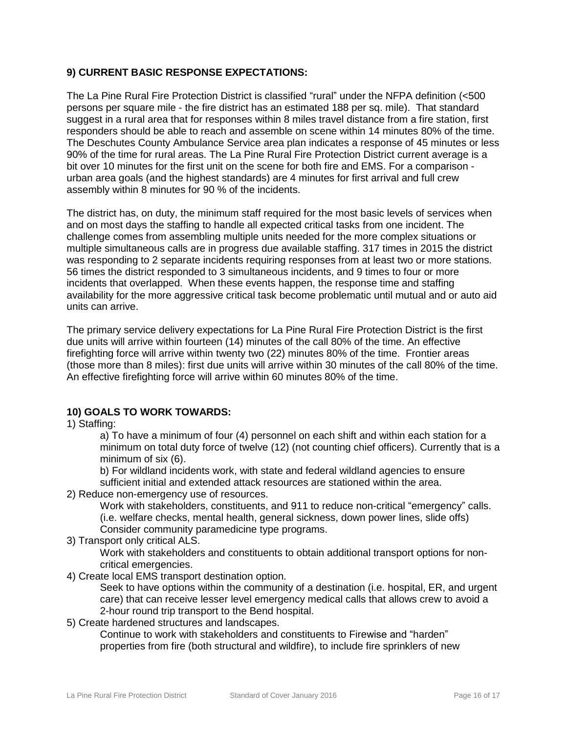# **9) CURRENT BASIC RESPONSE EXPECTATIONS:**

The La Pine Rural Fire Protection District is classified "rural" under the NFPA definition (<500 persons per square mile - the fire district has an estimated 188 per sq. mile). That standard suggest in a rural area that for responses within 8 miles travel distance from a fire station, first responders should be able to reach and assemble on scene within 14 minutes 80% of the time. The Deschutes County Ambulance Service area plan indicates a response of 45 minutes or less 90% of the time for rural areas. The La Pine Rural Fire Protection District current average is a bit over 10 minutes for the first unit on the scene for both fire and EMS. For a comparison urban area goals (and the highest standards) are 4 minutes for first arrival and full crew assembly within 8 minutes for 90 % of the incidents.

The district has, on duty, the minimum staff required for the most basic levels of services when and on most days the staffing to handle all expected critical tasks from one incident. The challenge comes from assembling multiple units needed for the more complex situations or multiple simultaneous calls are in progress due available staffing. 317 times in 2015 the district was responding to 2 separate incidents requiring responses from at least two or more stations. 56 times the district responded to 3 simultaneous incidents, and 9 times to four or more incidents that overlapped. When these events happen, the response time and staffing availability for the more aggressive critical task become problematic until mutual and or auto aid units can arrive.

The primary service delivery expectations for La Pine Rural Fire Protection District is the first due units will arrive within fourteen (14) minutes of the call 80% of the time. An effective firefighting force will arrive within twenty two (22) minutes 80% of the time. Frontier areas (those more than 8 miles): first due units will arrive within 30 minutes of the call 80% of the time. An effective firefighting force will arrive within 60 minutes 80% of the time.

# **10) GOALS TO WORK TOWARDS:**

1) Staffing:

a) To have a minimum of four (4) personnel on each shift and within each station for a minimum on total duty force of twelve (12) (not counting chief officers). Currently that is a minimum of six (6).

b) For wildland incidents work, with state and federal wildland agencies to ensure sufficient initial and extended attack resources are stationed within the area.

2) Reduce non-emergency use of resources.

Work with stakeholders, constituents, and 911 to reduce non-critical "emergency" calls. (i.e. welfare checks, mental health, general sickness, down power lines, slide offs) Consider community paramedicine type programs.

3) Transport only critical ALS.

Work with stakeholders and constituents to obtain additional transport options for noncritical emergencies.

4) Create local EMS transport destination option.

Seek to have options within the community of a destination (i.e. hospital, ER, and urgent care) that can receive lesser level emergency medical calls that allows crew to avoid a 2-hour round trip transport to the Bend hospital.

5) Create hardened structures and landscapes.

Continue to work with stakeholders and constituents to Firewise and "harden" properties from fire (both structural and wildfire), to include fire sprinklers of new